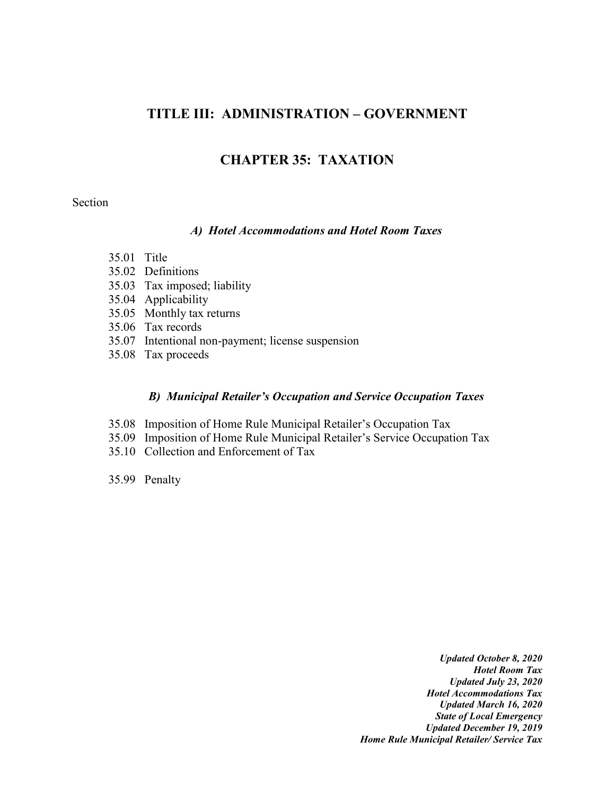# **TITLE III: ADMINISTRATION – GOVERNMENT**

# **CHAPTER 35: TAXATION**

### Section

#### *A) Hotel Accommodations and Hotel Room Taxes*

- 35.01 Title
- 35.02 Definitions
- 35.03 Tax imposed; liability
- 35.04 Applicability
- 35.05 Monthly tax returns
- 35.06 Tax records
- 35.07 Intentional non-payment; license suspension
- 35.08 Tax proceeds

#### *B) Municipal Retailer's Occupation and Service Occupation Taxes*

- 35.08 Imposition of Home Rule Municipal Retailer's Occupation Tax
- 35.09 Imposition of Home Rule Municipal Retailer's Service Occupation Tax
- 35.10 Collection and Enforcement of Tax
- 35.99 Penalty

*Updated October 8, 2020 Hotel Room Tax Updated July 23, 2020 Hotel Accommodations Tax Updated March 16, 2020 State of Local Emergency Updated December 19, 2019 Home Rule Municipal Retailer/ Service Tax*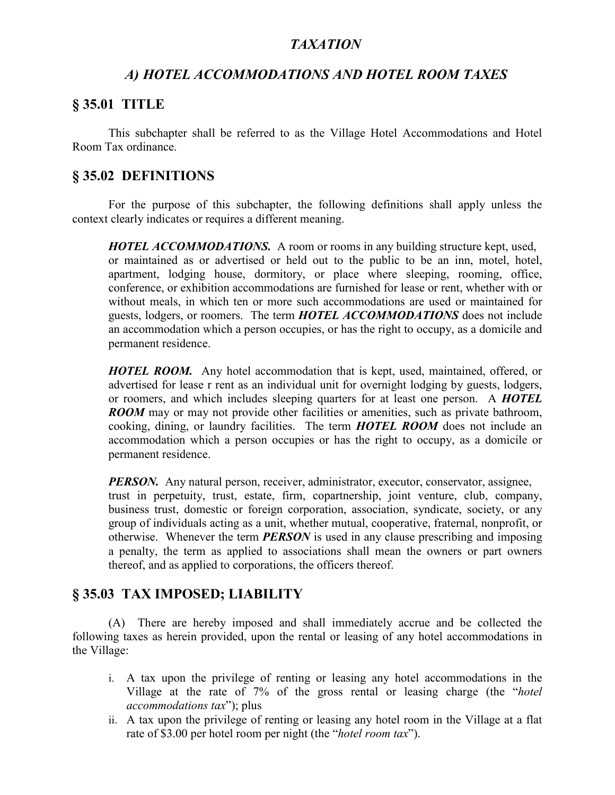# *TAXATION*

# *A) HOTEL ACCOMMODATIONS AND HOTEL ROOM TAXES*

## **§ 35.01 TITLE**

This subchapter shall be referred to as the Village Hotel Accommodations and Hotel Room Tax ordinance.

# **§ 35.02 DEFINITIONS**

For the purpose of this subchapter, the following definitions shall apply unless the context clearly indicates or requires a different meaning.

*HOTEL ACCOMMODATIONS.* A room or rooms in any building structure kept, used, or maintained as or advertised or held out to the public to be an inn, motel, hotel, apartment, lodging house, dormitory, or place where sleeping, rooming, office, conference, or exhibition accommodations are furnished for lease or rent, whether with or without meals, in which ten or more such accommodations are used or maintained for guests, lodgers, or roomers. The term *HOTEL ACCOMMODATIONS* does not include an accommodation which a person occupies, or has the right to occupy, as a domicile and permanent residence.

*HOTEL ROOM.* Any hotel accommodation that is kept, used, maintained, offered, or advertised for lease r rent as an individual unit for overnight lodging by guests, lodgers, or roomers, and which includes sleeping quarters for at least one person. A *HOTEL ROOM* may or may not provide other facilities or amenities, such as private bathroom, cooking, dining, or laundry facilities. The term *HOTEL ROOM* does not include an accommodation which a person occupies or has the right to occupy, as a domicile or permanent residence.

*PERSON.* Any natural person, receiver, administrator, executor, conservator, assignee, trust in perpetuity, trust, estate, firm, copartnership, joint venture, club, company, business trust, domestic or foreign corporation, association, syndicate, society, or any group of individuals acting as a unit, whether mutual, cooperative, fraternal, nonprofit, or otherwise. Whenever the term *PERSON* is used in any clause prescribing and imposing a penalty, the term as applied to associations shall mean the owners or part owners thereof, and as applied to corporations, the officers thereof.

# **§ 35.03 TAX IMPOSED; LIABILITY**

(A) There are hereby imposed and shall immediately accrue and be collected the following taxes as herein provided, upon the rental or leasing of any hotel accommodations in the Village:

- i. A tax upon the privilege of renting or leasing any hotel accommodations in the Village at the rate of 7% of the gross rental or leasing charge (the "*hotel accommodations tax*"); plus
- ii. A tax upon the privilege of renting or leasing any hotel room in the Village at a flat rate of \$3.00 per hotel room per night (the "*hotel room tax*").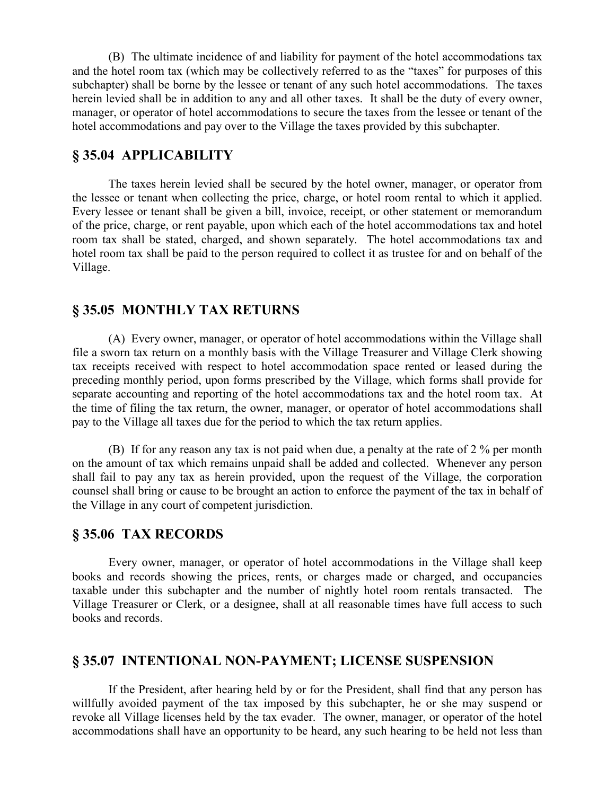(B) The ultimate incidence of and liability for payment of the hotel accommodations tax and the hotel room tax (which may be collectively referred to as the "taxes" for purposes of this subchapter) shall be borne by the lessee or tenant of any such hotel accommodations. The taxes herein levied shall be in addition to any and all other taxes. It shall be the duty of every owner, manager, or operator of hotel accommodations to secure the taxes from the lessee or tenant of the hotel accommodations and pay over to the Village the taxes provided by this subchapter.

## **§ 35.04 APPLICABILITY**

The taxes herein levied shall be secured by the hotel owner, manager, or operator from the lessee or tenant when collecting the price, charge, or hotel room rental to which it applied. Every lessee or tenant shall be given a bill, invoice, receipt, or other statement or memorandum of the price, charge, or rent payable, upon which each of the hotel accommodations tax and hotel room tax shall be stated, charged, and shown separately. The hotel accommodations tax and hotel room tax shall be paid to the person required to collect it as trustee for and on behalf of the Village.

### **§ 35.05 MONTHLY TAX RETURNS**

(A) Every owner, manager, or operator of hotel accommodations within the Village shall file a sworn tax return on a monthly basis with the Village Treasurer and Village Clerk showing tax receipts received with respect to hotel accommodation space rented or leased during the preceding monthly period, upon forms prescribed by the Village, which forms shall provide for separate accounting and reporting of the hotel accommodations tax and the hotel room tax. At the time of filing the tax return, the owner, manager, or operator of hotel accommodations shall pay to the Village all taxes due for the period to which the tax return applies.

(B) If for any reason any tax is not paid when due, a penalty at the rate of 2 % per month on the amount of tax which remains unpaid shall be added and collected. Whenever any person shall fail to pay any tax as herein provided, upon the request of the Village, the corporation counsel shall bring or cause to be brought an action to enforce the payment of the tax in behalf of the Village in any court of competent jurisdiction.

### **§ 35.06 TAX RECORDS**

Every owner, manager, or operator of hotel accommodations in the Village shall keep books and records showing the prices, rents, or charges made or charged, and occupancies taxable under this subchapter and the number of nightly hotel room rentals transacted. The Village Treasurer or Clerk, or a designee, shall at all reasonable times have full access to such books and records.

### **§ 35.07 INTENTIONAL NON-PAYMENT; LICENSE SUSPENSION**

If the President, after hearing held by or for the President, shall find that any person has willfully avoided payment of the tax imposed by this subchapter, he or she may suspend or revoke all Village licenses held by the tax evader. The owner, manager, or operator of the hotel accommodations shall have an opportunity to be heard, any such hearing to be held not less than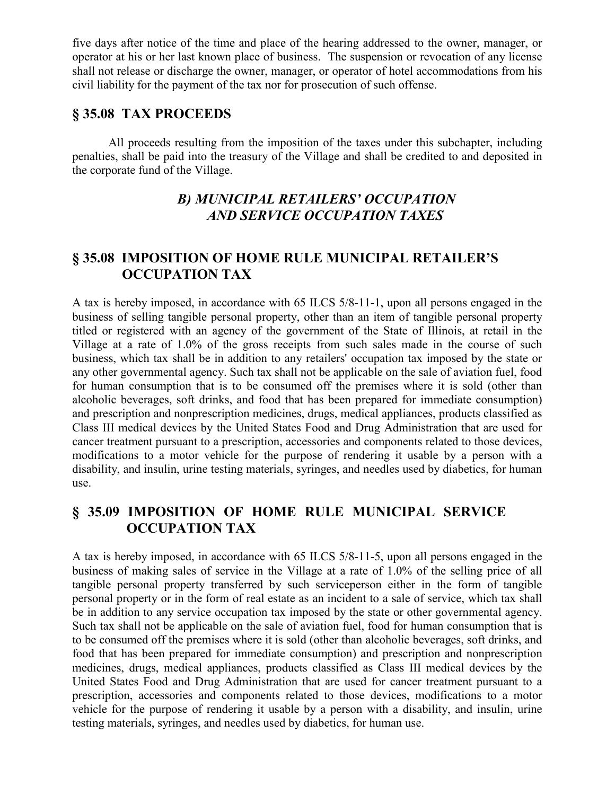five days after notice of the time and place of the hearing addressed to the owner, manager, or operator at his or her last known place of business. The suspension or revocation of any license shall not release or discharge the owner, manager, or operator of hotel accommodations from his civil liability for the payment of the tax nor for prosecution of such offense.

## **§ 35.08 TAX PROCEEDS**

All proceeds resulting from the imposition of the taxes under this subchapter, including penalties, shall be paid into the treasury of the Village and shall be credited to and deposited in the corporate fund of the Village.

# *B) MUNICIPAL RETAILERS' OCCUPATION AND SERVICE OCCUPATION TAXES*

# **§ 35.08 IMPOSITION OF HOME RULE MUNICIPAL RETAILER'S OCCUPATION TAX**

A tax is hereby imposed, in accordance with 65 ILCS 5/8-11-1, upon all persons engaged in the business of selling tangible personal property, other than an item of tangible personal property titled or registered with an agency of the government of the State of Illinois, at retail in the Village at a rate of 1.0% of the gross receipts from such sales made in the course of such business, which tax shall be in addition to any retailers' occupation tax imposed by the state or any other governmental agency. Such tax shall not be applicable on the sale of aviation fuel, food for human consumption that is to be consumed off the premises where it is sold (other than alcoholic beverages, soft drinks, and food that has been prepared for immediate consumption) and prescription and nonprescription medicines, drugs, medical appliances, products classified as Class III medical devices by the United States Food and Drug Administration that are used for cancer treatment pursuant to a prescription, accessories and components related to those devices, modifications to a motor vehicle for the purpose of rendering it usable by a person with a disability, and insulin, urine testing materials, syringes, and needles used by diabetics, for human use.

# **§ 35.09 IMPOSITION OF HOME RULE MUNICIPAL SERVICE OCCUPATION TAX**

A tax is hereby imposed, in accordance with 65 ILCS 5/8-11-5, upon all persons engaged in the business of making sales of service in the Village at a rate of 1.0% of the selling price of all tangible personal property transferred by such serviceperson either in the form of tangible personal property or in the form of real estate as an incident to a sale of service, which tax shall be in addition to any service occupation tax imposed by the state or other governmental agency. Such tax shall not be applicable on the sale of aviation fuel, food for human consumption that is to be consumed off the premises where it is sold (other than alcoholic beverages, soft drinks, and food that has been prepared for immediate consumption) and prescription and nonprescription medicines, drugs, medical appliances, products classified as Class III medical devices by the United States Food and Drug Administration that are used for cancer treatment pursuant to a prescription, accessories and components related to those devices, modifications to a motor vehicle for the purpose of rendering it usable by a person with a disability, and insulin, urine testing materials, syringes, and needles used by diabetics, for human use.